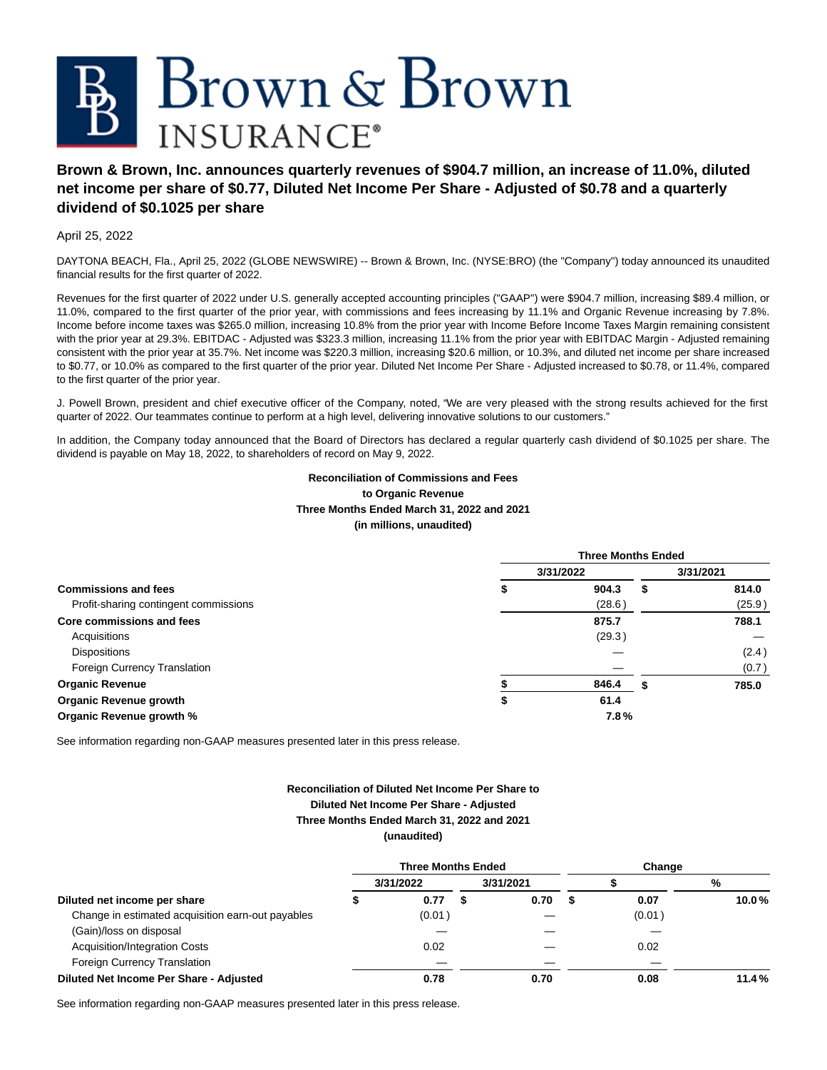

# **Brown & Brown, Inc. announces quarterly revenues of \$904.7 million, an increase of 11.0%, diluted net income per share of \$0.77, Diluted Net Income Per Share - Adjusted of \$0.78 and a quarterly dividend of \$0.1025 per share**

April 25, 2022

DAYTONA BEACH, Fla., April 25, 2022 (GLOBE NEWSWIRE) -- Brown & Brown, Inc. (NYSE:BRO) (the "Company") today announced its unaudited financial results for the first quarter of 2022.

Revenues for the first quarter of 2022 under U.S. generally accepted accounting principles ("GAAP") were \$904.7 million, increasing \$89.4 million, or 11.0%, compared to the first quarter of the prior year, with commissions and fees increasing by 11.1% and Organic Revenue increasing by 7.8%. Income before income taxes was \$265.0 million, increasing 10.8% from the prior year with Income Before Income Taxes Margin remaining consistent with the prior year at 29.3%. EBITDAC - Adjusted was \$323.3 million, increasing 11.1% from the prior year with EBITDAC Margin - Adjusted remaining consistent with the prior year at 35.7%. Net income was \$220.3 million, increasing \$20.6 million, or 10.3%, and diluted net income per share increased to \$0.77, or 10.0% as compared to the first quarter of the prior year. Diluted Net Income Per Share - Adjusted increased to \$0.78, or 11.4%, compared to the first quarter of the prior year.

J. Powell Brown, president and chief executive officer of the Company, noted, "We are very pleased with the strong results achieved for the first quarter of 2022. Our teammates continue to perform at a high level, delivering innovative solutions to our customers."

In addition, the Company today announced that the Board of Directors has declared a regular quarterly cash dividend of \$0.1025 per share. The dividend is payable on May 18, 2022, to shareholders of record on May 9, 2022.

# **Reconciliation of Commissions and Fees to Organic Revenue Three Months Ended March 31, 2022 and 2021 (in millions, unaudited)**

|                                       |   | <b>Three Months Ended</b> |   |           |  |  |
|---------------------------------------|---|---------------------------|---|-----------|--|--|
|                                       |   | 3/31/2022                 |   | 3/31/2021 |  |  |
| <b>Commissions and fees</b>           | æ | 904.3                     | S | 814.0     |  |  |
| Profit-sharing contingent commissions |   | (28.6)                    |   | (25.9)    |  |  |
| Core commissions and fees             |   | 875.7                     |   | 788.1     |  |  |
| Acquisitions                          |   | (29.3)                    |   |           |  |  |
| <b>Dispositions</b>                   |   |                           |   | (2.4)     |  |  |
| Foreign Currency Translation          |   |                           |   | (0.7)     |  |  |
| <b>Organic Revenue</b>                |   | 846.4                     | S | 785.0     |  |  |
| <b>Organic Revenue growth</b>         | ъ | 61.4                      |   |           |  |  |
| Organic Revenue growth %              |   | 7.8%                      |   |           |  |  |

See information regarding non-GAAP measures presented later in this press release.

## **Reconciliation of Diluted Net Income Per Share to Diluted Net Income Per Share - Adjusted Three Months Ended March 31, 2022 and 2021 (unaudited)**

|                                                   | <b>Three Months Ended</b> |           | Change    |  |        |       |
|---------------------------------------------------|---------------------------|-----------|-----------|--|--------|-------|
|                                                   |                           | 3/31/2022 | 3/31/2021 |  |        | %     |
| Diluted net income per share                      |                           | 0.77      | 0.70      |  | 0.07   | 10.0% |
| Change in estimated acquisition earn-out payables |                           | (0.01)    |           |  | (0.01) |       |
| (Gain)/loss on disposal                           |                           |           |           |  |        |       |
| Acquisition/Integration Costs                     |                           | 0.02      |           |  | 0.02   |       |
| Foreign Currency Translation                      |                           |           |           |  |        |       |
| Diluted Net Income Per Share - Adjusted           |                           | 0.78      | 0.70      |  | 0.08   | 11.4% |

See information regarding non-GAAP measures presented later in this press release.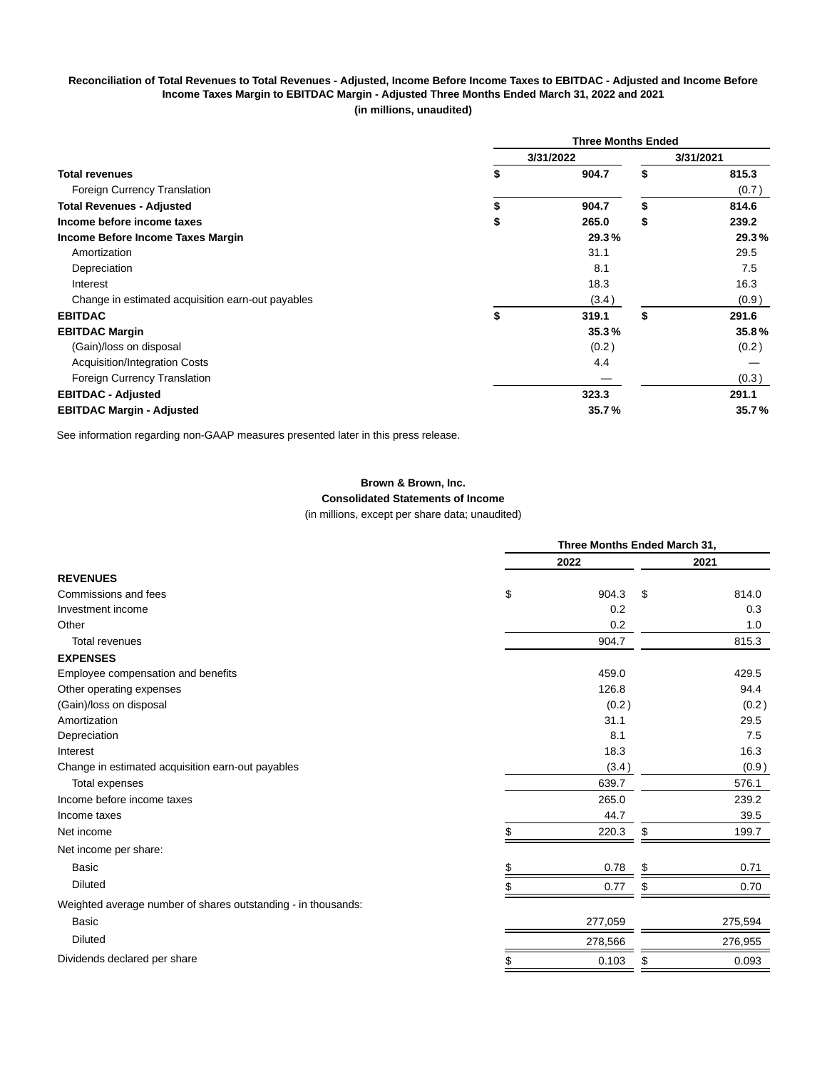### **Reconciliation of Total Revenues to Total Revenues - Adjusted, Income Before Income Taxes to EBITDAC - Adjusted and Income Before Income Taxes Margin to EBITDAC Margin - Adjusted Three Months Ended March 31, 2022 and 2021 (in millions, unaudited)**

|                                                   | <b>Three Months Ended</b> |           |    |           |  |
|---------------------------------------------------|---------------------------|-----------|----|-----------|--|
|                                                   |                           | 3/31/2022 |    | 3/31/2021 |  |
| <b>Total revenues</b>                             | \$                        | 904.7     | \$ | 815.3     |  |
| Foreign Currency Translation                      |                           |           |    | (0.7)     |  |
| <b>Total Revenues - Adjusted</b>                  | \$                        | 904.7     | \$ | 814.6     |  |
| Income before income taxes                        | \$                        | 265.0     | \$ | 239.2     |  |
| Income Before Income Taxes Margin                 |                           | 29.3%     |    | 29.3%     |  |
| Amortization                                      |                           | 31.1      |    | 29.5      |  |
| Depreciation                                      |                           | 8.1       |    | 7.5       |  |
| Interest                                          |                           | 18.3      |    | 16.3      |  |
| Change in estimated acquisition earn-out payables |                           | (3.4)     |    | (0.9)     |  |
| <b>EBITDAC</b>                                    | \$                        | 319.1     | \$ | 291.6     |  |
| <b>EBITDAC Margin</b>                             |                           | 35.3%     |    | 35.8%     |  |
| (Gain)/loss on disposal                           |                           | (0.2)     |    | (0.2)     |  |
| Acquisition/Integration Costs                     |                           | 4.4       |    |           |  |
| Foreign Currency Translation                      |                           |           |    | (0.3)     |  |
| <b>EBITDAC - Adjusted</b>                         |                           | 323.3     |    | 291.1     |  |
| <b>EBITDAC Margin - Adjusted</b>                  |                           | 35.7%     |    | 35.7%     |  |

See information regarding non-GAAP measures presented later in this press release.

# **Brown & Brown, Inc. Consolidated Statements of Income**

(in millions, except per share data; unaudited)

|                                                               | Three Months Ended March 31, |             |  |  |
|---------------------------------------------------------------|------------------------------|-------------|--|--|
|                                                               | 2022                         | 2021        |  |  |
| <b>REVENUES</b>                                               |                              |             |  |  |
| \$<br>Commissions and fees                                    | 904.3                        | \$<br>814.0 |  |  |
| Investment income                                             | 0.2                          | 0.3         |  |  |
| Other                                                         | 0.2                          | 1.0         |  |  |
| Total revenues                                                | 904.7                        | 815.3       |  |  |
| <b>EXPENSES</b>                                               |                              |             |  |  |
| Employee compensation and benefits                            | 459.0                        | 429.5       |  |  |
| Other operating expenses                                      | 126.8                        | 94.4        |  |  |
| (Gain)/loss on disposal                                       | (0.2)                        | (0.2)       |  |  |
| Amortization                                                  | 31.1                         | 29.5        |  |  |
| Depreciation                                                  | 8.1                          | 7.5         |  |  |
| Interest                                                      | 18.3                         | 16.3        |  |  |
| Change in estimated acquisition earn-out payables             | (3.4)                        | (0.9)       |  |  |
| Total expenses                                                | 639.7                        | 576.1       |  |  |
| Income before income taxes                                    | 265.0                        | 239.2       |  |  |
| Income taxes                                                  | 44.7                         | 39.5        |  |  |
| Net income<br>\$                                              | 220.3                        | 199.7<br>\$ |  |  |
| Net income per share:                                         |                              |             |  |  |
| <b>Basic</b>                                                  | 0.78                         | 0.71<br>\$  |  |  |
| <b>Diluted</b>                                                | 0.77                         | 0.70<br>\$  |  |  |
| Weighted average number of shares outstanding - in thousands: |                              |             |  |  |
| <b>Basic</b>                                                  | 277,059                      | 275,594     |  |  |
| <b>Diluted</b>                                                | 278,566                      | 276,955     |  |  |
| Dividends declared per share                                  | 0.103                        | 0.093<br>\$ |  |  |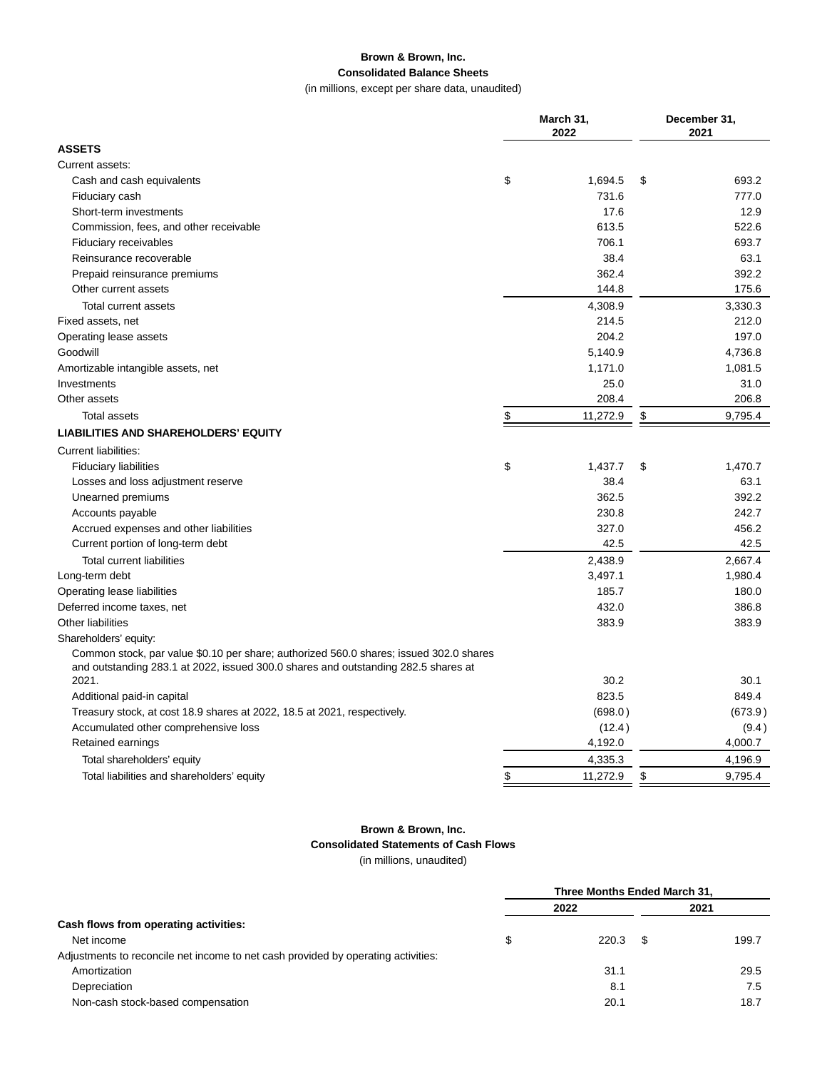# **Brown & Brown, Inc. Consolidated Balance Sheets**

(in millions, except per share data, unaudited)

|                                                                                        | March 31,<br>2022 |          |               | December 31,<br>2021 |  |  |
|----------------------------------------------------------------------------------------|-------------------|----------|---------------|----------------------|--|--|
| <b>ASSETS</b>                                                                          |                   |          |               |                      |  |  |
| Current assets:                                                                        |                   |          |               |                      |  |  |
| Cash and cash equivalents                                                              | \$                | 1,694.5  | \$            | 693.2                |  |  |
| Fiduciary cash                                                                         |                   | 731.6    |               | 777.0                |  |  |
| Short-term investments                                                                 |                   | 17.6     |               | 12.9                 |  |  |
| Commission, fees, and other receivable                                                 |                   | 613.5    |               | 522.6                |  |  |
| Fiduciary receivables                                                                  |                   | 706.1    |               | 693.7                |  |  |
| Reinsurance recoverable                                                                |                   | 38.4     |               | 63.1                 |  |  |
| Prepaid reinsurance premiums                                                           |                   | 362.4    |               | 392.2                |  |  |
| Other current assets                                                                   |                   | 144.8    |               | 175.6                |  |  |
| Total current assets                                                                   |                   | 4,308.9  |               | 3,330.3              |  |  |
| Fixed assets, net                                                                      |                   | 214.5    |               | 212.0                |  |  |
| Operating lease assets                                                                 |                   | 204.2    |               | 197.0                |  |  |
| Goodwill                                                                               |                   | 5,140.9  |               | 4,736.8              |  |  |
| Amortizable intangible assets, net                                                     |                   | 1,171.0  |               | 1,081.5              |  |  |
| Investments                                                                            |                   | 25.0     |               | 31.0                 |  |  |
| Other assets                                                                           |                   | 208.4    |               | 206.8                |  |  |
| <b>Total assets</b>                                                                    | \$                | 11,272.9 | \$            | 9,795.4              |  |  |
| <b>LIABILITIES AND SHAREHOLDERS' EQUITY</b>                                            |                   |          |               |                      |  |  |
| Current liabilities:                                                                   |                   |          |               |                      |  |  |
| <b>Fiduciary liabilities</b>                                                           | \$                | 1,437.7  | \$            | 1,470.7              |  |  |
| Losses and loss adjustment reserve                                                     |                   | 38.4     |               | 63.1                 |  |  |
| Unearned premiums                                                                      |                   | 362.5    |               | 392.2                |  |  |
| Accounts payable                                                                       |                   | 230.8    |               | 242.7                |  |  |
| Accrued expenses and other liabilities                                                 |                   | 327.0    |               | 456.2                |  |  |
| Current portion of long-term debt                                                      |                   | 42.5     |               | 42.5                 |  |  |
| <b>Total current liabilities</b>                                                       |                   | 2,438.9  |               | 2,667.4              |  |  |
| Long-term debt                                                                         |                   | 3,497.1  |               | 1,980.4              |  |  |
| Operating lease liabilities                                                            |                   | 185.7    |               | 180.0                |  |  |
| Deferred income taxes, net                                                             |                   | 432.0    |               | 386.8                |  |  |
| <b>Other liabilities</b>                                                               |                   | 383.9    |               | 383.9                |  |  |
| Shareholders' equity:                                                                  |                   |          |               |                      |  |  |
| Common stock, par value \$0.10 per share; authorized 560.0 shares; issued 302.0 shares |                   |          |               |                      |  |  |
| and outstanding 283.1 at 2022, issued 300.0 shares and outstanding 282.5 shares at     |                   |          |               |                      |  |  |
| 2021.                                                                                  |                   | 30.2     |               | 30.1                 |  |  |
| Additional paid-in capital                                                             |                   | 823.5    |               | 849.4                |  |  |
| Treasury stock, at cost 18.9 shares at 2022, 18.5 at 2021, respectively.               |                   | (698.0)  |               | (673.9)              |  |  |
| Accumulated other comprehensive loss                                                   |                   | (12.4)   |               | (9.4)                |  |  |
| Retained earnings                                                                      |                   | 4,192.0  |               | 4,000.7              |  |  |
| Total shareholders' equity                                                             |                   | 4,335.3  |               | 4,196.9              |  |  |
| Total liabilities and shareholders' equity                                             | \$                | 11,272.9 | $\frac{3}{2}$ | 9,795.4              |  |  |

# **Brown & Brown, Inc.**

**Consolidated Statements of Cash Flows**

(in millions, unaudited)

|                                                                                   | Three Months Ended March 31, |       |      |       |
|-----------------------------------------------------------------------------------|------------------------------|-------|------|-------|
|                                                                                   |                              | 2022  |      | 2021  |
| Cash flows from operating activities:                                             |                              |       |      |       |
| Net income                                                                        | S                            | 220.3 | - \$ | 199.7 |
| Adjustments to reconcile net income to net cash provided by operating activities: |                              |       |      |       |
| Amortization                                                                      |                              | 31.1  |      | 29.5  |
| Depreciation                                                                      |                              | 8.1   |      | 7.5   |
| Non-cash stock-based compensation                                                 |                              | 20.1  |      | 18.7  |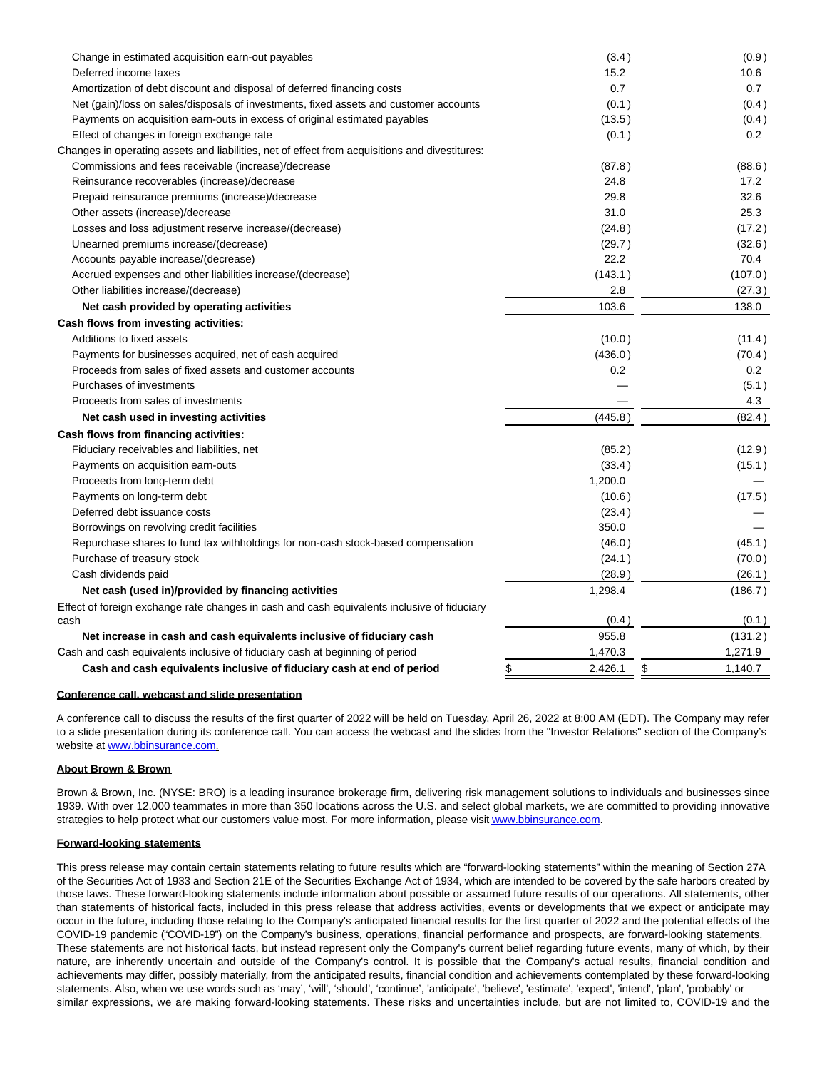| Change in estimated acquisition earn-out payables                                              | (3.4)   | (0.9)         |
|------------------------------------------------------------------------------------------------|---------|---------------|
| Deferred income taxes                                                                          | 15.2    | 10.6          |
| Amortization of debt discount and disposal of deferred financing costs                         | 0.7     | 0.7           |
| Net (gain)/loss on sales/disposals of investments, fixed assets and customer accounts          | (0.1)   | (0.4)         |
| Payments on acquisition earn-outs in excess of original estimated payables                     | (13.5)  | (0.4)         |
| Effect of changes in foreign exchange rate                                                     | (0.1)   | 0.2           |
| Changes in operating assets and liabilities, net of effect from acquisitions and divestitures: |         |               |
| Commissions and fees receivable (increase)/decrease                                            | (87.8)  | (88.6)        |
| Reinsurance recoverables (increase)/decrease                                                   | 24.8    | 17.2          |
| Prepaid reinsurance premiums (increase)/decrease                                               | 29.8    | 32.6          |
| Other assets (increase)/decrease                                                               | 31.0    | 25.3          |
| Losses and loss adjustment reserve increase/(decrease)                                         | (24.8)  | (17.2)        |
| Unearned premiums increase/(decrease)                                                          | (29.7)  | (32.6)        |
| Accounts payable increase/(decrease)                                                           | 22.2    | 70.4          |
| Accrued expenses and other liabilities increase/(decrease)                                     | (143.1) | (107.0)       |
| Other liabilities increase/(decrease)                                                          | 2.8     | (27.3)        |
| Net cash provided by operating activities                                                      | 103.6   | 138.0         |
| Cash flows from investing activities:                                                          |         |               |
| Additions to fixed assets                                                                      | (10.0)  | (11.4)        |
| Payments for businesses acquired, net of cash acquired                                         | (436.0) | (70.4)        |
| Proceeds from sales of fixed assets and customer accounts                                      | 0.2     | 0.2           |
| Purchases of investments                                                                       |         | (5.1)         |
| Proceeds from sales of investments                                                             |         | 4.3           |
| Net cash used in investing activities                                                          | (445.8) | (82.4)        |
| Cash flows from financing activities:                                                          |         |               |
| Fiduciary receivables and liabilities, net                                                     | (85.2)  | (12.9)        |
| Payments on acquisition earn-outs                                                              | (33.4)  | (15.1)        |
| Proceeds from long-term debt                                                                   | 1,200.0 |               |
| Payments on long-term debt                                                                     | (10.6)  | (17.5)        |
| Deferred debt issuance costs                                                                   | (23.4)  |               |
| Borrowings on revolving credit facilities                                                      | 350.0   |               |
| Repurchase shares to fund tax withholdings for non-cash stock-based compensation               | (46.0)  | (45.1)        |
| Purchase of treasury stock                                                                     | (24.1)  | (70.0)        |
| Cash dividends paid                                                                            | (28.9)  | (26.1)        |
| Net cash (used in)/provided by financing activities                                            | 1,298.4 | (186.7)       |
| Effect of foreign exchange rate changes in cash and cash equivalents inclusive of fiduciary    |         |               |
| cash                                                                                           | (0.4)   | (0.1)         |
| Net increase in cash and cash equivalents inclusive of fiduciary cash                          | 955.8   | (131.2)       |
| Cash and cash equivalents inclusive of fiduciary cash at beginning of period                   | 1,470.3 | 1,271.9       |
| Cash and cash equivalents inclusive of fiduciary cash at end of period<br>\$                   | 2,426.1 | \$<br>1,140.7 |

#### **Conference call, webcast and slide presentation**

A conference call to discuss the results of the first quarter of 2022 will be held on Tuesday, April 26, 2022 at 8:00 AM (EDT). The Company may refer to a slide presentation during its conference call. You can access the webcast and the slides from the "Investor Relations" section of the Company's website at [www.bbinsurance.com.](https://www.globenewswire.com/Tracker?data=D0bXNLQKtdwvWknIZaTs3MJCQlMJAecmfnRR_HcaafrfiBdN75hX_JYT_z6_ogD2R_Zc0Ye6owvFtwexhHvXHcNJhC7YXgn86RYyGeidB6g=)

#### **About Brown & Brown**

Brown & Brown, Inc. (NYSE: BRO) is a leading insurance brokerage firm, delivering risk management solutions to individuals and businesses since 1939. With over 12,000 teammates in more than 350 locations across the U.S. and select global markets, we are committed to providing innovative strategies to help protect what our customers value most. For more information, please visi[t www.bbinsurance.com.](https://www.globenewswire.com/Tracker?data=D0bXNLQKtdwvWknIZaTs3JX3Gjnn60W51pc2JXndOl-rip0odPjcS7d0KzU_K-e3qXi4rGvKJIAM9wGgqBCAUqnsEsONc22rkkDR6zARYR8=)

#### **Forward-looking statements**

This press release may contain certain statements relating to future results which are "forward-looking statements" within the meaning of Section 27A of the Securities Act of 1933 and Section 21E of the Securities Exchange Act of 1934, which are intended to be covered by the safe harbors created by those laws. These forward-looking statements include information about possible or assumed future results of our operations. All statements, other than statements of historical facts, included in this press release that address activities, events or developments that we expect or anticipate may occur in the future, including those relating to the Company's anticipated financial results for the first quarter of 2022 and the potential effects of the COVID-19 pandemic ("COVID-19") on the Company's business, operations, financial performance and prospects, are forward-looking statements. These statements are not historical facts, but instead represent only the Company's current belief regarding future events, many of which, by their nature, are inherently uncertain and outside of the Company's control. It is possible that the Company's actual results, financial condition and achievements may differ, possibly materially, from the anticipated results, financial condition and achievements contemplated by these forward-looking statements. Also, when we use words such as 'may', 'will', 'should', 'continue', 'anticipate', 'believe', 'estimate', 'expect', 'intend', 'plan', 'probably' or similar expressions, we are making forward-looking statements. These risks and uncertainties include, but are not limited to, COVID-19 and the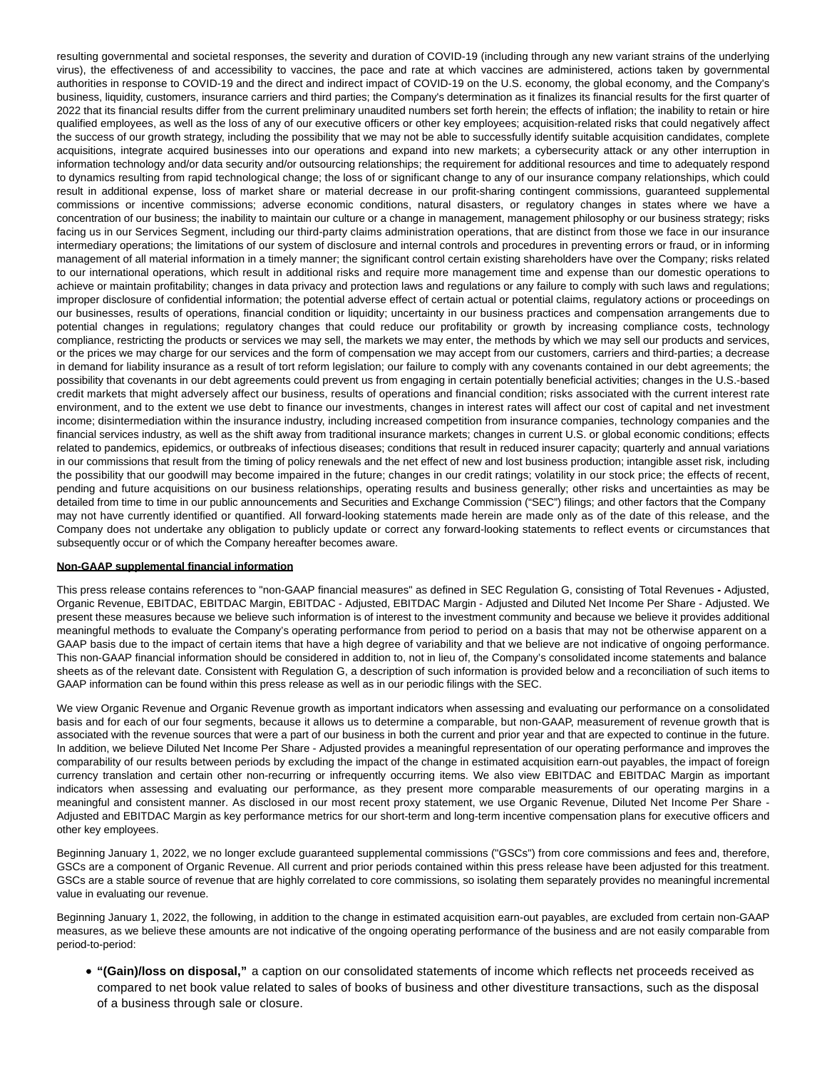resulting governmental and societal responses, the severity and duration of COVID-19 (including through any new variant strains of the underlying virus), the effectiveness of and accessibility to vaccines, the pace and rate at which vaccines are administered, actions taken by governmental authorities in response to COVID-19 and the direct and indirect impact of COVID-19 on the U.S. economy, the global economy, and the Company's business, liquidity, customers, insurance carriers and third parties; the Company's determination as it finalizes its financial results for the first quarter of 2022 that its financial results differ from the current preliminary unaudited numbers set forth herein; the effects of inflation; the inability to retain or hire qualified employees, as well as the loss of any of our executive officers or other key employees; acquisition-related risks that could negatively affect the success of our growth strategy, including the possibility that we may not be able to successfully identify suitable acquisition candidates, complete acquisitions, integrate acquired businesses into our operations and expand into new markets; a cybersecurity attack or any other interruption in information technology and/or data security and/or outsourcing relationships; the requirement for additional resources and time to adequately respond to dynamics resulting from rapid technological change; the loss of or significant change to any of our insurance company relationships, which could result in additional expense, loss of market share or material decrease in our profit-sharing contingent commissions, guaranteed supplemental commissions or incentive commissions; adverse economic conditions, natural disasters, or regulatory changes in states where we have a concentration of our business; the inability to maintain our culture or a change in management, management philosophy or our business strategy; risks facing us in our Services Segment, including our third-party claims administration operations, that are distinct from those we face in our insurance intermediary operations; the limitations of our system of disclosure and internal controls and procedures in preventing errors or fraud, or in informing management of all material information in a timely manner; the significant control certain existing shareholders have over the Company; risks related to our international operations, which result in additional risks and require more management time and expense than our domestic operations to achieve or maintain profitability; changes in data privacy and protection laws and regulations or any failure to comply with such laws and regulations; improper disclosure of confidential information; the potential adverse effect of certain actual or potential claims, regulatory actions or proceedings on our businesses, results of operations, financial condition or liquidity; uncertainty in our business practices and compensation arrangements due to potential changes in regulations; regulatory changes that could reduce our profitability or growth by increasing compliance costs, technology compliance, restricting the products or services we may sell, the markets we may enter, the methods by which we may sell our products and services, or the prices we may charge for our services and the form of compensation we may accept from our customers, carriers and third-parties; a decrease in demand for liability insurance as a result of tort reform legislation; our failure to comply with any covenants contained in our debt agreements; the possibility that covenants in our debt agreements could prevent us from engaging in certain potentially beneficial activities; changes in the U.S.-based credit markets that might adversely affect our business, results of operations and financial condition; risks associated with the current interest rate environment, and to the extent we use debt to finance our investments, changes in interest rates will affect our cost of capital and net investment income; disintermediation within the insurance industry, including increased competition from insurance companies, technology companies and the financial services industry, as well as the shift away from traditional insurance markets; changes in current U.S. or global economic conditions; effects related to pandemics, epidemics, or outbreaks of infectious diseases; conditions that result in reduced insurer capacity; quarterly and annual variations in our commissions that result from the timing of policy renewals and the net effect of new and lost business production; intangible asset risk, including the possibility that our goodwill may become impaired in the future; changes in our credit ratings; volatility in our stock price; the effects of recent, pending and future acquisitions on our business relationships, operating results and business generally; other risks and uncertainties as may be detailed from time to time in our public announcements and Securities and Exchange Commission ("SEC") filings; and other factors that the Company may not have currently identified or quantified. All forward-looking statements made herein are made only as of the date of this release, and the Company does not undertake any obligation to publicly update or correct any forward-looking statements to reflect events or circumstances that subsequently occur or of which the Company hereafter becomes aware.

#### **Non-GAAP supplemental financial information**

This press release contains references to "non-GAAP financial measures" as defined in SEC Regulation G, consisting of Total Revenues **-** Adjusted, Organic Revenue, EBITDAC, EBITDAC Margin, EBITDAC - Adjusted, EBITDAC Margin - Adjusted and Diluted Net Income Per Share - Adjusted. We present these measures because we believe such information is of interest to the investment community and because we believe it provides additional meaningful methods to evaluate the Company's operating performance from period to period on a basis that may not be otherwise apparent on a GAAP basis due to the impact of certain items that have a high degree of variability and that we believe are not indicative of ongoing performance. This non-GAAP financial information should be considered in addition to, not in lieu of, the Company's consolidated income statements and balance sheets as of the relevant date. Consistent with Regulation G, a description of such information is provided below and a reconciliation of such items to GAAP information can be found within this press release as well as in our periodic filings with the SEC.

We view Organic Revenue and Organic Revenue growth as important indicators when assessing and evaluating our performance on a consolidated basis and for each of our four segments, because it allows us to determine a comparable, but non-GAAP, measurement of revenue growth that is associated with the revenue sources that were a part of our business in both the current and prior year and that are expected to continue in the future. In addition, we believe Diluted Net Income Per Share - Adjusted provides a meaningful representation of our operating performance and improves the comparability of our results between periods by excluding the impact of the change in estimated acquisition earn-out payables, the impact of foreign currency translation and certain other non-recurring or infrequently occurring items. We also view EBITDAC and EBITDAC Margin as important indicators when assessing and evaluating our performance, as they present more comparable measurements of our operating margins in a meaningful and consistent manner. As disclosed in our most recent proxy statement, we use Organic Revenue, Diluted Net Income Per Share - Adjusted and EBITDAC Margin as key performance metrics for our short-term and long-term incentive compensation plans for executive officers and other key employees.

Beginning January 1, 2022, we no longer exclude guaranteed supplemental commissions ("GSCs") from core commissions and fees and, therefore, GSCs are a component of Organic Revenue. All current and prior periods contained within this press release have been adjusted for this treatment. GSCs are a stable source of revenue that are highly correlated to core commissions, so isolating them separately provides no meaningful incremental value in evaluating our revenue.

Beginning January 1, 2022, the following, in addition to the change in estimated acquisition earn-out payables, are excluded from certain non-GAAP measures, as we believe these amounts are not indicative of the ongoing operating performance of the business and are not easily comparable from period-to-period:

**"(Gain)/loss on disposal,"** a caption on our consolidated statements of income which reflects net proceeds received as compared to net book value related to sales of books of business and other divestiture transactions, such as the disposal of a business through sale or closure.